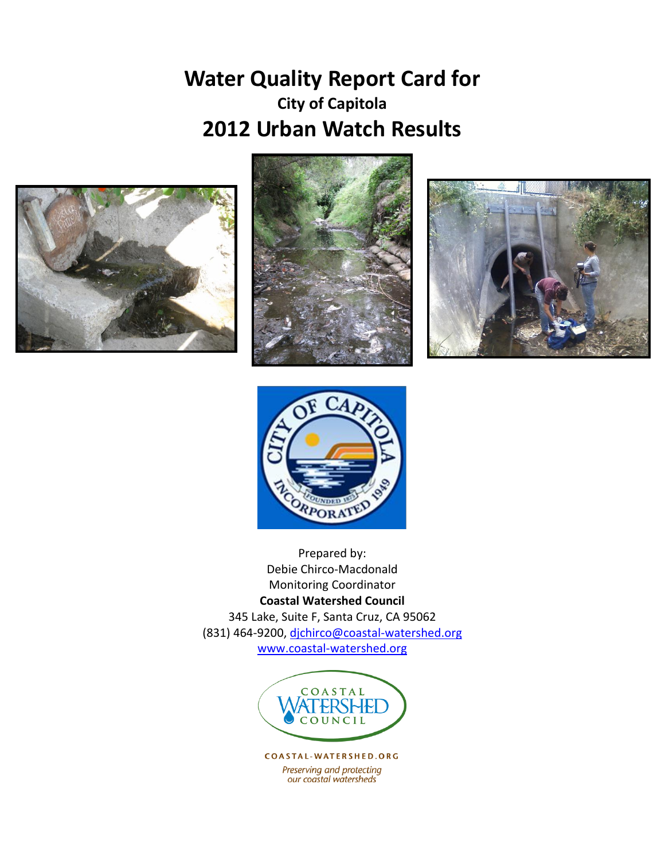# **Water Quality Report Card for City of Capitola 2012 Urban Watch Results**









Prepared by: Debie Chirco-Macdonald Monitoring Coordinator **Coastal Watershed Council** 345 Lake, Suite F, Santa Cruz, CA 95062 (831) 464-9200, [djchirco@coastal-watershed.org](mailto:djchirco@coastal-watershed.org) [www.coastal-watershed.org](http://www.coastal-watershed.org/)



COASTAL-WATERSHED.ORG Preserving and protecting<br>our coastal watersheds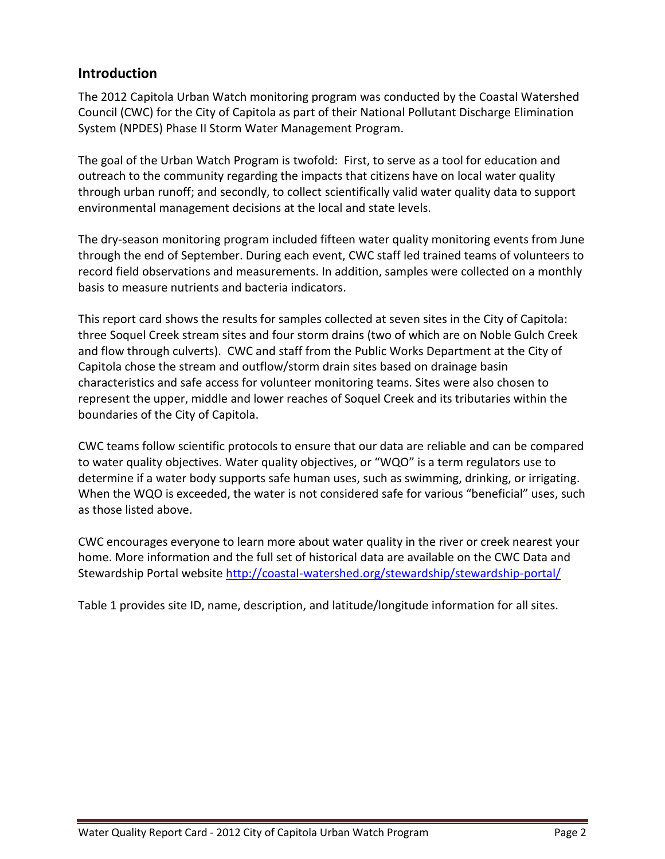## **Introduction**

The 2012 Capitola Urban Watch monitoring program was conducted by the Coastal Watershed Council (CWC) for the City of Capitola as part of their National Pollutant Discharge Elimination System (NPDES) Phase II Storm Water Management Program.

The goal of the Urban Watch Program is twofold: First, to serve as a tool for education and outreach to the community regarding the impacts that citizens have on local water quality through urban runoff; and secondly, to collect scientifically valid water quality data to support environmental management decisions at the local and state levels.

The dry-season monitoring program included fifteen water quality monitoring events from June through the end of September. During each event, CWC staff led trained teams of volunteers to record field observations and measurements. In addition, samples were collected on a monthly basis to measure nutrients and bacteria indicators.

This report card shows the results for samples collected at seven sites in the City of Capitola: three Soquel Creek stream sites and four storm drains (two of which are on Noble Gulch Creek and flow through culverts). CWC and staff from the Public Works Department at the City of Capitola chose the stream and outflow/storm drain sites based on drainage basin characteristics and safe access for volunteer monitoring teams. Sites were also chosen to represent the upper, middle and lower reaches of Soquel Creek and its tributaries within the boundaries of the City of Capitola.

CWC teams follow scientific protocols to ensure that our data are reliable and can be compared to water quality objectives. Water quality objectives, or "WQO" is a term regulators use to determine if a water body supports safe human uses, such as swimming, drinking, or irrigating. When the WQO is exceeded, the water is not considered safe for various "beneficial" uses, such as those listed above.

CWC encourages everyone to learn more about water quality in the river or creek nearest your home. More information and the full set of historical data are available on the CWC Data and Stewardship Portal website<http://coastal-watershed.org/stewardship/stewardship-portal/>

Table 1 provides site ID, name, description, and latitude/longitude information for all sites.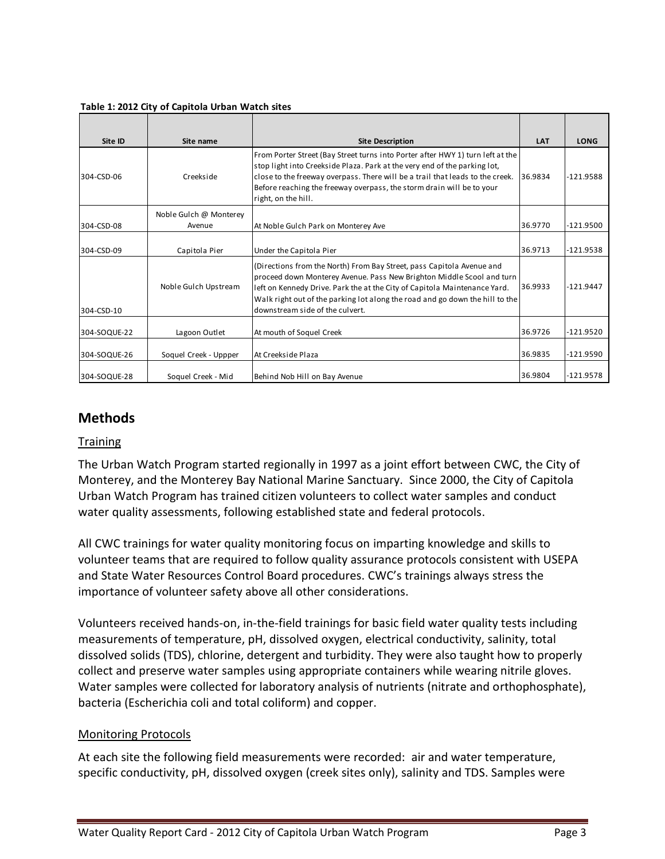### **Table 1: 2012 City of Capitola Urban Watch sites**

| Site ID      | Site name                        | <b>Site Description</b>                                                                                                                                                                                                                                                                                                                        | <b>LAT</b> | <b>LONG</b> |
|--------------|----------------------------------|------------------------------------------------------------------------------------------------------------------------------------------------------------------------------------------------------------------------------------------------------------------------------------------------------------------------------------------------|------------|-------------|
| 304-CSD-06   | Creekside                        | From Porter Street (Bay Street turns into Porter after HWY 1) turn left at the<br>stop light into Creekside Plaza. Park at the very end of the parking lot,<br>close to the freeway overpass. There will be a trail that leads to the creek.<br>Before reaching the freeway overpass, the storm drain will be to your<br>right, on the hill.   | 36.9834    | -121.9588   |
| 304-CSD-08   | Noble Gulch @ Monterey<br>Avenue | At Noble Gulch Park on Monterey Ave                                                                                                                                                                                                                                                                                                            | 36.9770    | -121.9500   |
| 304-CSD-09   | Capitola Pier                    | Under the Capitola Pier                                                                                                                                                                                                                                                                                                                        | 36.9713    | $-121.9538$ |
| 304-CSD-10   | Noble Gulch Upstream             | (Directions from the North) From Bay Street, pass Capitola Avenue and<br>proceed down Monterey Avenue. Pass New Brighton Middle Scool and turn<br>left on Kennedy Drive. Park the at the City of Capitola Maintenance Yard.<br>Walk right out of the parking lot along the road and go down the hill to the<br>downstream side of the culvert. | 36.9933    | -121.9447   |
| 304-SOQUE-22 | Lagoon Outlet                    | At mouth of Soquel Creek                                                                                                                                                                                                                                                                                                                       | 36.9726    | -121.9520   |
| 304-SOQUE-26 | Soquel Creek - Uppper            | At Creekside Plaza                                                                                                                                                                                                                                                                                                                             | 36.9835    | $-121.9590$ |
| 304-SOQUE-28 | Soquel Creek - Mid               | Behind Nob Hill on Bay Avenue                                                                                                                                                                                                                                                                                                                  | 36.9804    | $-121.9578$ |

# **Methods**

### **Training**

The Urban Watch Program started regionally in 1997 as a joint effort between CWC, the City of Monterey, and the Monterey Bay National Marine Sanctuary. Since 2000, the City of Capitola Urban Watch Program has trained citizen volunteers to collect water samples and conduct water quality assessments, following established state and federal protocols.

All CWC trainings for water quality monitoring focus on imparting knowledge and skills to volunteer teams that are required to follow quality assurance protocols consistent with USEPA and State Water Resources Control Board procedures. CWC's trainings always stress the importance of volunteer safety above all other considerations.

Volunteers received hands-on, in-the-field trainings for basic field water quality tests including measurements of temperature, pH, dissolved oxygen, electrical conductivity, salinity, total dissolved solids (TDS), chlorine, detergent and turbidity. They were also taught how to properly collect and preserve water samples using appropriate containers while wearing nitrile gloves. Water samples were collected for laboratory analysis of nutrients (nitrate and orthophosphate), bacteria (Escherichia coli and total coliform) and copper.

### Monitoring Protocols

At each site the following field measurements were recorded: air and water temperature, specific conductivity, pH, dissolved oxygen (creek sites only), salinity and TDS. Samples were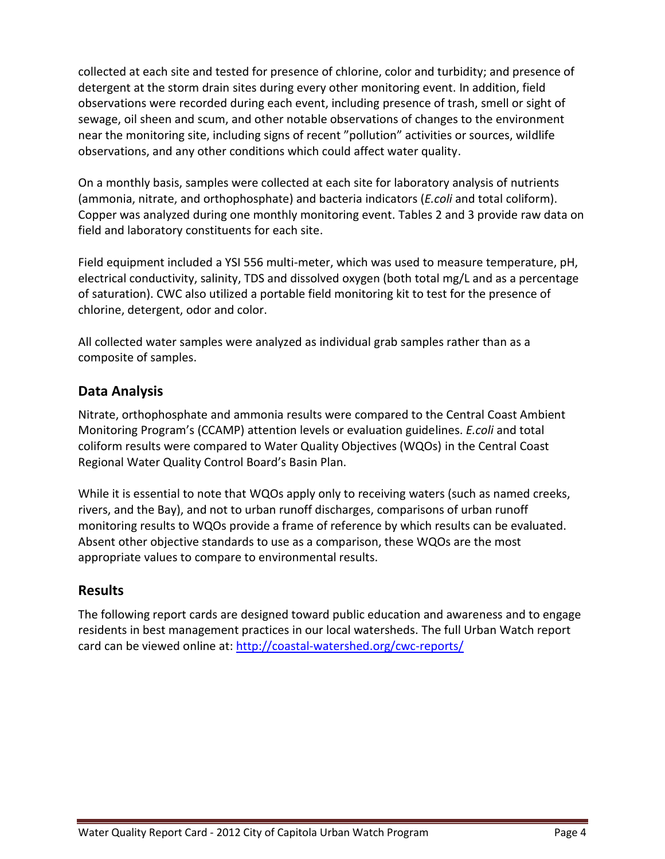collected at each site and tested for presence of chlorine, color and turbidity; and presence of detergent at the storm drain sites during every other monitoring event. In addition, field observations were recorded during each event, including presence of trash, smell or sight of sewage, oil sheen and scum, and other notable observations of changes to the environment near the monitoring site, including signs of recent "pollution" activities or sources, wildlife observations, and any other conditions which could affect water quality.

On a monthly basis, samples were collected at each site for laboratory analysis of nutrients (ammonia, nitrate, and orthophosphate) and bacteria indicators (*E.coli* and total coliform). Copper was analyzed during one monthly monitoring event. Tables 2 and 3 provide raw data on field and laboratory constituents for each site.

Field equipment included a YSI 556 multi-meter, which was used to measure temperature, pH, electrical conductivity, salinity, TDS and dissolved oxygen (both total mg/L and as a percentage of saturation). CWC also utilized a portable field monitoring kit to test for the presence of chlorine, detergent, odor and color.

All collected water samples were analyzed as individual grab samples rather than as a composite of samples.

## **Data Analysis**

Nitrate, orthophosphate and ammonia results were compared to the Central Coast Ambient Monitoring Program's (CCAMP) attention levels or evaluation guidelines. *E.coli* and total coliform results were compared to Water Quality Objectives (WQOs) in the Central Coast Regional Water Quality Control Board's Basin Plan.

While it is essential to note that WQOs apply only to receiving waters (such as named creeks, rivers, and the Bay), and not to urban runoff discharges, comparisons of urban runoff monitoring results to WQOs provide a frame of reference by which results can be evaluated. Absent other objective standards to use as a comparison, these WQOs are the most appropriate values to compare to environmental results.

# **Results**

The following report cards are designed toward public education and awareness and to engage residents in best management practices in our local watersheds. The full Urban Watch report card can be viewed online at:<http://coastal-watershed.org/cwc-reports/>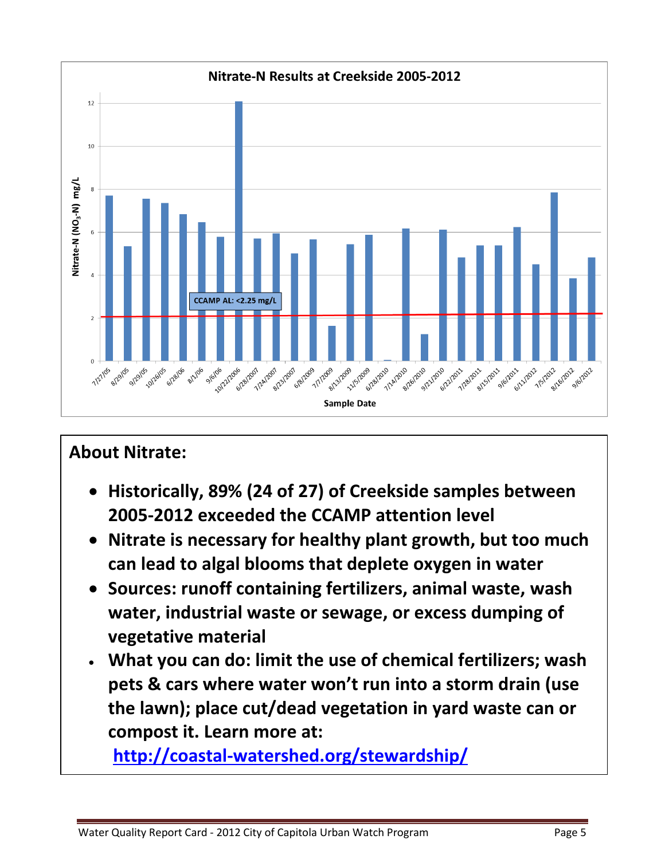

# **About Nitrate:**

- **Historically, 89% (24 of 27) of Creekside samples between 2005-2012 exceeded the CCAMP attention level**
- **Nitrate is necessary for healthy plant growth, but too much can lead to algal blooms that deplete oxygen in water**
- **Sources: runoff containing fertilizers, animal waste, wash water, industrial waste or sewage, or excess dumping of vegetative material**
- **What you can do: limit the use of chemical fertilizers; wash pets & cars where water won't run into a storm drain (use the lawn); place cut/dead vegetation in yard waste can or compost it. Learn more at:**

**<http://coastal-watershed.org/stewardship/>**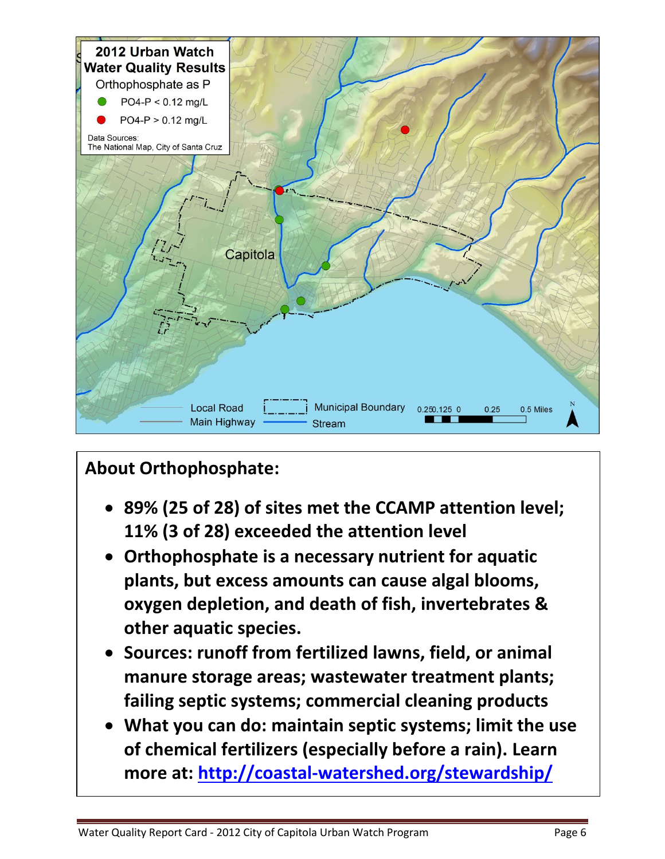

# **About Orthophosphate:**

- **89% (25 of 28) of sites met the CCAMP attention level; 11% (3 of 28) exceeded the attention level**
- **Orthophosphate is a necessary nutrient for aquatic plants, but excess amounts can cause algal blooms, oxygen depletion, and death of fish, invertebrates & other aquatic species.**
- **Sources: runoff from fertilized lawns, field, or animal manure storage areas; wastewater treatment plants; failing septic systems; commercial cleaning products**
- **What you can do: maintain septic systems; limit the use of chemical fertilizers (especially before a rain). Learn more at:<http://coastal-watershed.org/stewardship/>**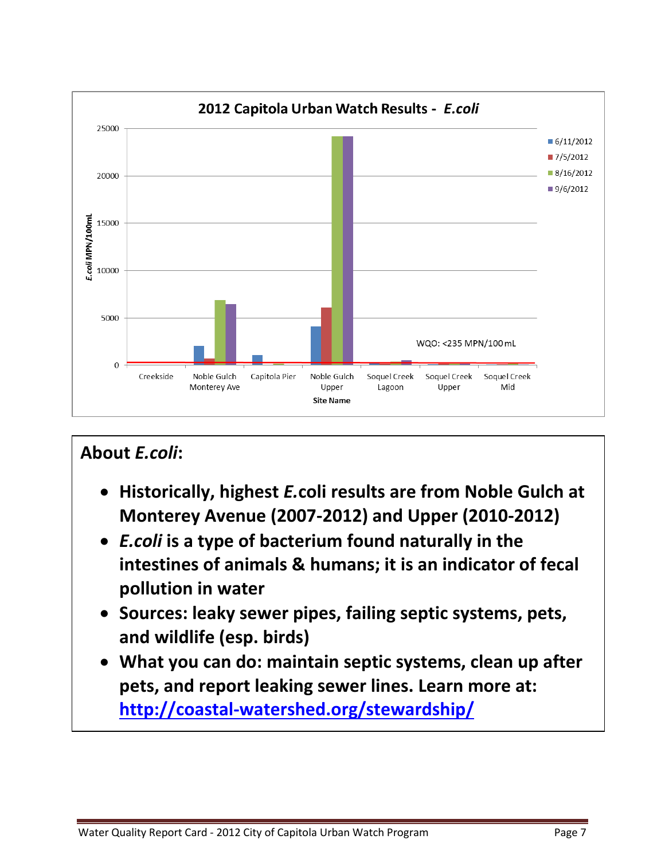

# **About** *E.coli***: Historically, highest** *E.***coli results are from Noble Gulch at Monterey Avenue (2007-2012) and Upper (2010-2012)** *E.coli* **is a type of bacterium found naturally in the intestines of animals & humans; it is an indicator of fecal pollution in water Sources: leaky sewer pipes, failing septic systems, pets, and wildlife (esp. birds) What you can do: maintain septic systems, clean up after**

**pets, and report leaking sewer lines. Learn more at: <http://coastal-watershed.org/stewardship/>**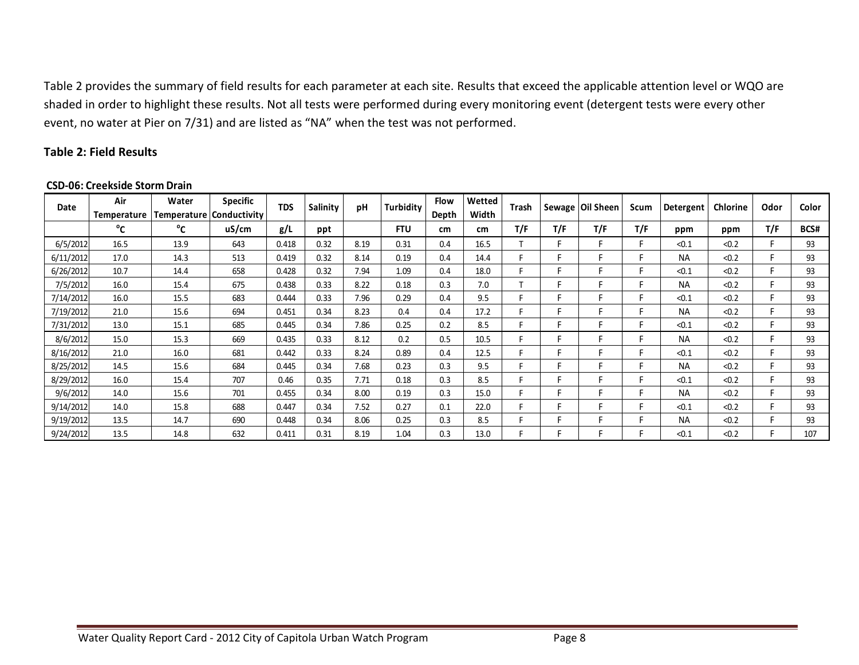Table 2 provides the summary of field results for each parameter at each site. Results that exceed the applicable attention level or WQO are shaded in order to highlight these results. Not all tests were performed during every monitoring event (detergent tests were every other

### **Table 2: Field Results**

|           | event, no water at Pier on 7/31) and are listed as "NA" when the test was not performed. |                            |                 |            |          |      |            |             |        |       |     |                    |      |           |          |      |              |
|-----------|------------------------------------------------------------------------------------------|----------------------------|-----------------|------------|----------|------|------------|-------------|--------|-------|-----|--------------------|------|-----------|----------|------|--------------|
|           |                                                                                          |                            |                 |            |          |      |            |             |        |       |     |                    |      |           |          |      |              |
|           | <b>Table 2: Field Results</b>                                                            |                            |                 |            |          |      |            |             |        |       |     |                    |      |           |          |      |              |
|           |                                                                                          |                            |                 |            |          |      |            |             |        |       |     |                    |      |           |          |      |              |
|           | <b>CSD-06: Creekside Storm Drain</b>                                                     |                            |                 |            |          |      |            |             |        |       |     |                    |      |           |          |      |              |
|           | Air                                                                                      | Water                      | <b>Specific</b> |            |          |      |            | <b>Flow</b> | Wetted |       |     |                    |      |           |          |      |              |
| Date      | Temperature                                                                              | Temperature   Conductivity |                 | <b>TDS</b> | Salinity | pH   | Turbidity  | Depth       | Width  | Trash |     | Sewage   Oil Sheen | Scum | Detergent | Chlorine | Odor | <b>Color</b> |
|           | $^{\circ}$ c                                                                             | $^{\circ}$ C               | uS/cm           | g/L        | ppt      |      | <b>FTU</b> | cm          | cm     | T/F   | T/F | T/F                | T/F  | ppm       | ppm      | T/F  | BCS#         |
| 6/5/2012  | 16.5                                                                                     | 13.9                       | 643             | 0.418      | 0.32     | 8.19 | 0.31       | 0.4         | 16.5   | T.    | E   |                    |      | < 0.1     | < 0.2    | F    | 93           |
| 6/11/2012 | 17.0                                                                                     | 14.3                       | 513             | 0.419      | 0.32     | 8.14 | 0.19       | 0.4         | 14.4   |       | F   |                    |      | <b>NA</b> | < 0.2    |      | 93           |
| 6/26/2012 | 10.7                                                                                     | 14.4                       | 658             | 0.428      | 0.32     | 7.94 | 1.09       | 0.4         | 18.0   |       | F   |                    |      | < 0.1     | < 0.2    | E    | 93           |
| 7/5/2012  | 16.0                                                                                     | 15.4                       | 675             | 0.438      | 0.33     | 8.22 | 0.18       | 0.3         | 7.0    | т     |     |                    |      | <b>NA</b> | < 0.2    |      | 93           |
| 7/14/2012 | 16.0                                                                                     | 15.5                       | 683             | 0.444      | 0.33     | 7.96 | 0.29       | 0.4         | 9.5    |       | E   | Е                  |      | < 0.1     | < 0.2    | E    | 93           |
| 7/19/2012 | 21.0                                                                                     | 15.6                       | 694             | 0.451      | 0.34     | 8.23 | 0.4        | 0.4         | 17.2   |       | E   | Е                  |      | <b>NA</b> | < 0.2    | F    | 93           |
| 7/31/2012 | 13.0                                                                                     | 15.1                       | 685             | 0.445      | 0.34     | 7.86 | 0.25       | 0.2         | 8.5    | Е     | Е   | F                  | F.   | < 0.1     | < 0.2    | E    | 93           |
| 8/6/2012  | 15.0                                                                                     | 15.3                       | 669             | 0.435      | 0.33     | 8.12 | 0.2        | 0.5         | 10.5   | F     | F   | F                  |      | <b>NA</b> | < 0.2    | E    | 93           |
| 8/16/2012 | 21.0                                                                                     | 16.0                       | 681             | 0.442      | 0.33     | 8.24 | 0.89       | 0.4         | 12.5   | п     | E   | с                  | c    | < 0.1     | < 0.2    | E    | 93           |
| 8/25/2012 | 14.5                                                                                     | 15.6                       | 684             | 0.445      | 0.34     | 7.68 | 0.23       | 0.3         | 9.5    | Е     | Ē   | F                  |      | <b>NA</b> | < 0.2    | F    | 93           |
| 8/29/2012 | 16.0                                                                                     | 15.4                       | 707             | 0.46       | 0.35     | 7.71 | 0.18       | 0.3         | 8.5    |       | F   |                    |      | < 0.1     | < 0.2    | F    | 93           |
| 9/6/2012  | 14.0                                                                                     | 15.6                       | 701             | 0.455      | 0.34     | 8.00 | 0.19       | 0.3         | 15.0   |       | E   |                    |      | <b>NA</b> | < 0.2    |      | 93           |
| 9/14/2012 | 14.0                                                                                     | 15.8                       | 688             | 0.447      | 0.34     | 7.52 | 0.27       | 0.1         | 22.0   | Е     | E   |                    |      | < 0.1     | < 0.2    |      | 93           |
| 9/19/2012 | 13.5                                                                                     | 14.7                       | 690             | 0.448      | 0.34     | 8.06 | 0.25       | 0.3         | 8.5    |       | E   |                    |      | <b>NA</b> | < 0.2    |      | 93           |
| 9/24/2012 | 13.5                                                                                     | 14.8                       | 632             | 0.411      | 0.31     | 8.19 | 1.04       | 0.3         | 13.0   |       |     |                    |      | < 0.1     | < 0.2    |      | 107          |

### **CSD-06: Creekside Storm Drain**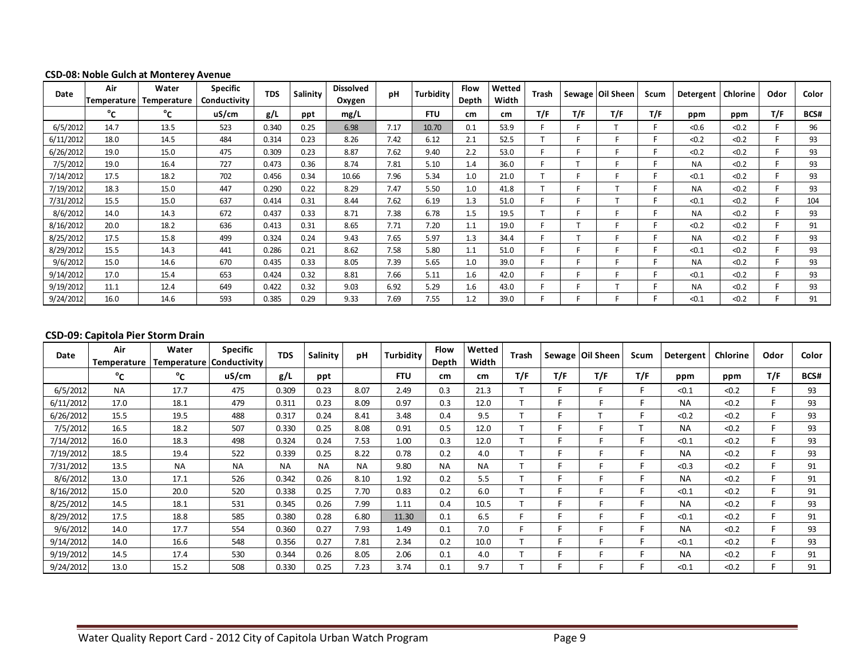|           |              | <b>CSD-08: Noble Gulch at Monterey Avenue</b> |                 |            |          |                  |      |            |             |        |                |           |                  |                |           |          |      |       |
|-----------|--------------|-----------------------------------------------|-----------------|------------|----------|------------------|------|------------|-------------|--------|----------------|-----------|------------------|----------------|-----------|----------|------|-------|
| Date      | Air          | Water                                         | <b>Specific</b> | <b>TDS</b> | Salinity | <b>Dissolved</b> | pH   | Turbidity  | <b>Flow</b> | Wetted | Trash          |           | Sewage Oil Sheen | Scum           | Detergent | Chlorine | Odor | Color |
|           |              | Temperature Temperature                       | Conductivity    |            |          | Oxygen           |      |            | Depth       | Width  |                |           |                  |                |           |          |      |       |
|           | $^{\circ}$ c | $^{\circ}$ c                                  | uS/cm           | g/L        | ppt      | mg/L             |      | <b>FTU</b> | cm          | cm     | T/F            | T/F       | T/F              | T/F            | ppm       | ppm      | T/F  | BCS#  |
| 6/5/2012  | 14.7         | 13.5                                          | 523             | 0.340      | 0.25     | 6.98             | 7.17 | 10.70      | 0.1         | 53.9   | F              |           | T.               | F.             | < 0.6     | < 0.2    | F    | 96    |
| 6/11/2012 | 18.0         | 14.5                                          | 484             | 0.314      | 0.23     | 8.26             | 7.42 | 6.12       | 2.1         | 52.5   | $\mathbf \tau$ | E.        | $\blacksquare$   | F.             | < 0.2     | < 0.2    | F    | 93    |
| 6/26/2012 | 19.0         | 15.0                                          | 475             | 0.309      | 0.23     | 8.87             | 7.62 | 9.40       | 2.2         | 53.0   | F              | F.        | F                | F.             | < 0.2     | < 0.2    | F    | 93    |
| 7/5/2012  | 19.0         | 16.4                                          | 727             | 0.473      | 0.36     | 8.74             | 7.81 | 5.10       | 1.4         | 36.0   | E              |           | F                | Е              | <b>NA</b> | < 0.2    | E    | 93    |
| 7/14/2012 | 17.5         | 18.2                                          | 702             | 0.456      | 0.34     | 10.66            | 7.96 | 5.34       | 1.0         | 21.0   | $\mathbf \tau$ |           | E                | E.             | < 0.1     | < 0.2    | E    | 93    |
| 7/19/2012 | 18.3         | 15.0                                          | 447             | 0.290      | 0.22     | 8.29             | 7.47 | 5.50       | 1.0         | 41.8   |                |           | $\mathsf{T}$     | F.             | <b>NA</b> | < 0.2    | F    | 93    |
| 7/31/2012 | 15.5         | 15.0                                          | 637             | 0.414      | 0.31     | 8.44             | 7.62 | 6.19       | 1.3         | 51.0   | F              |           | $\mathsf{T}$     | E.             | < 0.1     | < 0.2    | F    | 104   |
| 8/6/2012  | 14.0         | 14.3                                          | 672             | 0.437      | 0.33     | 8.71             | 7.38 | 6.78       | 1.5         | 19.5   |                |           | F                | F.             | <b>NA</b> | < 0.2    | F    | 93    |
| 8/16/2012 | 20.0         | 18.2                                          | 636             | 0.413      | 0.31     | 8.65             | 7.71 | 7.20       | 1.1         | 19.0   | $\mathbf{r}$   | $\mathbf$ | c                | $\blacksquare$ | < 0.2     | < 0.2    | F    | 91    |
| 8/25/2012 | 17.5         | 15.8                                          | 499             | 0.324      | 0.24     | 9.43             | 7.65 | 5.97       | 1.3         | 34.4   | E              |           | E                | F.             | <b>NA</b> | < 0.2    | F    | 93    |
| 8/29/2012 | 15.5         | 14.3                                          | 441             | 0.286      | 0.21     | 8.62             | 7.58 | 5.80       | 1.1         | 51.0   | E              |           | c                |                | < 0.1     | < 0.2    | E    | 93    |
| 9/6/2012  | 15.0         | 14.6                                          | 670             | 0.435      | 0.33     | 8.05             | 7.39 | 5.65       | 1.0         | 39.0   |                |           | Е                | E.             | <b>NA</b> | < 0.2    | E    | 93    |
| 9/14/2012 | 17.0         | 15.4                                          | 653             | 0.424      | 0.32     | 8.81             | 7.66 | 5.11       | 1.6         | 42.0   | c              |           | Е                |                | < 0.1     | < 0.2    |      | 93    |
| 9/19/2012 | 11.1         | 12.4                                          | 649             | 0.422      | 0.32     | 9.03             | 6.92 | 5.29       | 1.6         | 43.0   |                |           | $\mathsf{T}$     | Е              | <b>NA</b> | < 0.2    |      | 93    |
| 9/24/2012 | 16.0         | 14.6                                          | 593             | 0.385      | 0.29     | 9.33             | 7.69 | 7.55       | 1.2         | 39.0   | E              |           | E                | E.             | < 0.1     | < 0.2    | E    | 91    |
|           |              |                                               |                 |            |          |                  |      |            |             |        |                |           |                  |                |           |          |      |       |

### **CSD-09: Capitola Pier Storm Drain**

| 9/6/2012  | 15.0                                     | 14.6                     | 670             | 0.435      | 0.33            | 8.05      | 7.39             | 5.65        | 1.0       | 39.0            |     |                  |      | NA.       | < 0.2    |      | 93    |
|-----------|------------------------------------------|--------------------------|-----------------|------------|-----------------|-----------|------------------|-------------|-----------|-----------------|-----|------------------|------|-----------|----------|------|-------|
| 9/14/2012 | 17.0                                     | 15.4                     | 653             | 0.424      | 0.32            | 8.81      | 7.66             | 5.11        | 1.6       | 42.0            | с   | п                |      | < 0.1     | < 0.2    |      | 93    |
| 9/19/2012 | 11.1                                     | 12.4                     | 649             | 0.422      | 0.32            | 9.03      | 6.92             | 5.29        | 1.6       | 43.0            | Е   | $\mathbf \tau$   |      | <b>NA</b> | < 0.2    |      | 93    |
| 9/24/2012 | 16.0                                     | 14.6                     | 593             | 0.385      | 0.29            | 9.33      | 7.69             | 7.55        | 1.2       | 39.0            |     |                  |      | < 0.1     | < 0.2    |      | 91    |
|           |                                          |                          |                 |            |                 |           |                  |             |           |                 |     |                  |      |           |          |      |       |
|           |                                          |                          |                 |            |                 |           |                  |             |           |                 |     |                  |      |           |          |      |       |
|           | <b>CSD-09: Capitola Pier Storm Drain</b> |                          |                 |            |                 |           |                  |             |           |                 |     |                  |      |           |          |      |       |
|           | Air                                      | Water                    | <b>Specific</b> | <b>TDS</b> |                 |           |                  | <b>Flow</b> | Wetted    |                 |     |                  |      |           |          |      |       |
| Date      | Temperature                              | Temperature Conductivity |                 |            | <b>Salinity</b> | pH        | <b>Turbidity</b> | Depth       | Width     | Trash           |     | Sewage Oil Sheen | Scum | Detergent | Chlorine | Odor | Color |
|           | $^{\circ}$ c                             | $^{\circ}$ c             | uS/cm           | g/L        | ppt             |           | <b>FTU</b>       | cm          | <b>cm</b> | T/F             | T/F | T/F              | T/F  | ppm       | ppm      | T/F  | BCS#  |
| 6/5/2012  | <b>NA</b>                                | 17.7                     | 475             | 0.309      | 0.23            | 8.07      | 2.49             | 0.3         | 21.3      | $\mathbf \tau$  | F   |                  |      | < 0.1     | < 0.2    | F.   | 93    |
| 6/11/2012 | 17.0                                     | 18.1                     | 479             | 0.311      | 0.23            | 8.09      | 0.97             | 0.3         | 12.0      | $\mathbf \tau$  | F   |                  |      | <b>NA</b> | < 0.2    | F    | 93    |
| 6/26/2012 | 15.5                                     | 19.5                     | 488             | 0.317      | 0.24            | 8.41      | 3.48             | 0.4         | 9.5       | $\mathbf \tau$  | E.  |                  |      | < 0.2     | < 0.2    | F    | 93    |
| 7/5/2012  | 16.5                                     | 18.2                     | 507             | 0.330      | 0.25            | 8.08      | 0.91             | 0.5         | 12.0      | $\mathbf{r}$    | E.  |                  |      | <b>NA</b> | < 0.2    | F    | 93    |
| 7/14/2012 | 16.0                                     | 18.3                     | 498             | 0.324      | 0.24            | 7.53      | 1.00             | 0.3         | 12.0      | $\mathbf \tau$  |     |                  |      | < 0.1     | < 0.2    | F    | 93    |
| 7/19/2012 | 18.5                                     | 19.4                     | 522             | 0.339      | 0.25            | 8.22      | 0.78             | 0.2         | 4.0       | $\mathbf \tau$  | E.  |                  |      | <b>NA</b> | < 0.2    | F    | 93    |
| 7/31/2012 | 13.5                                     | <b>NA</b>                | <b>NA</b>       | <b>NA</b>  | <b>NA</b>       | <b>NA</b> | 9.80             | <b>NA</b>   | <b>NA</b> | $\mathbf{r}$    | E.  |                  |      | < 0.3     | < 0.2    | F    | 91    |
| 8/6/2012  | 13.0                                     | 17.1                     | 526             | 0.342      | 0.26            | 8.10      | 1.92             | 0.2         | 5.5       | $\mathbf \tau$  | F   |                  |      | <b>NA</b> | < 0.2    | F    | 91    |
| 8/16/2012 | 15.0                                     | 20.0                     | 520             | 0.338      | 0.25            | 7.70      | 0.83             | 0.2         | 6.0       | $\mathbf \tau$  | E.  |                  |      | < 0.1     | < 0.2    | F    | 91    |
| 8/25/2012 | 14.5                                     | 18.1                     | 531             | 0.345      | 0.26            | 7.99      | 1.11             | 0.4         | 10.5      | T.              | E.  |                  |      | <b>NA</b> | < 0.2    | F    | 93    |
| 8/29/2012 | 17.5                                     | 18.8                     | 585             | 0.380      | 0.28            | 6.80      | 11.30            | 0.1         | 6.5       | F               | Е   |                  |      | < 0.1     | < 0.2    | F    | 91    |
| 9/6/2012  | 14.0                                     | 17.7                     | 554             | 0.360      | 0.27            | 7.93      | 1.49             | 0.1         | 7.0       | F               | E.  |                  |      | <b>NA</b> | < 0.2    | F    | 93    |
| 9/14/2012 | 14.0                                     | 16.6                     | 548             | 0.356      | 0.27            | 7.81      | 2.34             | 0.2         | 10.0      | $\mathbf{\tau}$ | E.  |                  |      | < 0.1     | < 0.2    | F    | 93    |
| 9/19/2012 | 14.5                                     | 17.4                     | 530             | 0.344      | 0.26            | 8.05      | 2.06             | 0.1         | 4.0       | T               | E.  |                  |      | <b>NA</b> | < 0.2    | F    | 91    |
| 9/24/2012 | 13.0                                     | 15.2                     | 508             | 0.330      | 0.25            | 7.23      | 3.74             | 0.1         | 9.7       | $\mathbf \tau$  | F   |                  |      | < 0.1     | < 0.2    | F    | 91    |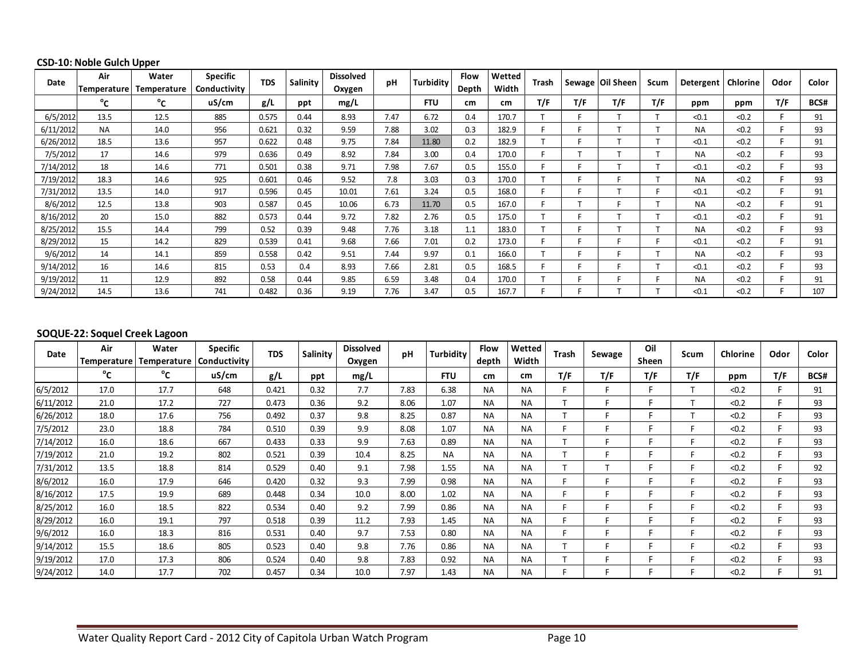|           | <b>CSD-10: Noble Gulch Upper</b> |                      |                                 |            |          |                            |      |            |                      |                 |                |     |                  |                |           |          |      |       |
|-----------|----------------------------------|----------------------|---------------------------------|------------|----------|----------------------------|------|------------|----------------------|-----------------|----------------|-----|------------------|----------------|-----------|----------|------|-------|
| Date      | Air<br><b>Temperature</b>        | Water<br>Temperature | <b>Specific</b><br>Conductivity | <b>TDS</b> | Salinity | <b>Dissolved</b><br>Oxygen | pH   | Turbidity  | <b>Flow</b><br>Depth | Wetted<br>Width | <b>Trash</b>   |     | Sewage Oil Sheen | Scum           | Detergent | Chlorine | Odor | Color |
|           | $^{\circ}$ c                     | °c                   | uS/cm                           | g/L        | ppt      | mg/L                       |      | <b>FTU</b> | cm                   | cm              | T/F            | T/F | T/F              | T/F            | ppm       | ppm      | T/F  | BCS#  |
| 6/5/2012  | 13.5                             | 12.5                 | 885                             | 0.575      | 0.44     | 8.93                       | 7.47 | 6.72       | 0.4                  | 170.7           |                |     |                  | T              | < 0.1     | < 0.2    | F    | 91    |
| 6/11/2012 | <b>NA</b>                        | 14.0                 | 956                             | 0.621      | 0.32     | 9.59                       | 7.88 | 3.02       | 0.3                  | 182.9           | F              | п.  | $\mathbf \tau$   | $\mathbf \tau$ | <b>NA</b> | < 0.2    | F    | 93    |
| 6/26/2012 | 18.5                             | 13.6                 | 957                             | 0.622      | 0.48     | 9.75                       | 7.84 | 11.80      | 0.2                  | 182.9           | T              | E.  | $\mathbf \tau$   | $\mathbf \tau$ | < 0.1     | < 0.2    | E.   | 91    |
| 7/5/2012  | 17                               | 14.6                 | 979                             | 0.636      | 0.49     | 8.92                       | 7.84 | 3.00       | 0.4                  | 170.0           | F              | T   |                  |                | <b>NA</b> | < 0.2    | Е    | 93    |
| 7/14/2012 | 18                               | 14.6                 | 771                             | 0.501      | 0.38     | 9.71                       | 7.98 | 7.67       | 0.5                  | 155.0           | F              |     |                  |                | < 0.1     | < 0.2    |      | 93    |
| 7/19/2012 | 18.3                             | 14.6                 | 925                             | 0.601      | 0.46     | 9.52                       | 7.8  | 3.03       | 0.3                  | 170.0           | $\mathbf \tau$ |     |                  |                | NA        | < 0.2    |      | 93    |
| 7/31/2012 | 13.5                             | 14.0                 | 917                             | 0.596      | 0.45     | 10.01                      | 7.61 | 3.24       | 0.5                  | 168.0           | F              |     |                  | F              | < 0.1     | < 0.2    |      | 91    |
| 8/6/2012  | 12.5                             | 13.8                 | 903                             | 0.587      | 0.45     | 10.06                      | 6.73 | 11.70      | 0.5                  | 167.0           | F              | T.  | F                | $\mathbf \tau$ | <b>NA</b> | < 0.2    |      | 91    |
| 8/16/2012 | 20                               | 15.0                 | 882                             | 0.573      | 0.44     | 9.72                       | 7.82 | 2.76       | 0.5                  | 175.0           | $\mathbf \tau$ |     |                  | $\mathbf \tau$ | < 0.1     | < 0.2    | E.   | 91    |
| 8/25/2012 | 15.5                             | 14.4                 | 799                             | 0.52       | 0.39     | 9.48                       | 7.76 | 3.18       | 1.1                  | 183.0           | T              |     |                  |                | <b>NA</b> | < 0.2    | Е    | 93    |
| 8/29/2012 | 15                               | 14.2                 | 829                             | 0.539      | 0.41     | 9.68                       | 7.66 | 7.01       | 0.2                  | 173.0           | F              |     | E                | F              | < 0.1     | < 0.2    | Е    | 91    |
| 9/6/2012  | 14                               | 14.1                 | 859                             | 0.558      | 0.42     | 9.51                       | 7.44 | 9.97       | 0.1                  | 166.0           | $\mathbf \tau$ |     |                  |                | <b>NA</b> | < 0.2    |      | 93    |
| 9/14/2012 | 16                               | 14.6                 | 815                             | 0.53       | 0.4      | 8.93                       | 7.66 | 2.81       | 0.5                  | 168.5           | F              |     | E                |                | < 0.1     | < 0.2    |      | 93    |
| 9/19/2012 | 11                               | 12.9                 | 892                             | 0.58       | 0.44     | 9.85                       | 6.59 | 3.48       | 0.4                  | 170.0           | $\mathbf \tau$ |     |                  | F              | <b>NA</b> | < 0.2    |      | 91    |
| 9/24/2012 | 14.5                             | 13.6                 | 741                             | 0.482      | 0.36     | 9.19                       | 7.76 | 3.47       | 0.5                  | 167.7           | F              |     |                  | $\mathsf{T}$   | < 0.1     | < 0.2    | Е    | 107   |

### **CSD-10: Noble Gulch Upper**

### **SOQUE-22: Soquel Creek Lagoon**

| -, -, -- - |                               |              |                 |            |                 |                  |      |            |             |                          |              |        |                |              |          |      |       |
|------------|-------------------------------|--------------|-----------------|------------|-----------------|------------------|------|------------|-------------|--------------------------|--------------|--------|----------------|--------------|----------|------|-------|
| 9/14/2012  | 16                            | 14.6         | 815             | 0.53       | 0.4             | 8.93             | 7.66 | 2.81       | 0.5         | 168.5<br>E               | E.           | F      | $\mathbf \tau$ | < 0.1        | < 0.2    | Е    | 93    |
| 9/19/2012  | 11                            | 12.9         | 892             | 0.58       | 0.44            | 9.85             | 6.59 | 3.48       | 0.4         | 170.0<br>$\mathbf{\tau}$ | F.           | F.     | F.             | <b>NA</b>    | < 0.2    | F.   | 91    |
| 9/24/2012  | 14.5                          | 13.6         | 741             | 0.482      | 0.36            | 9.19             | 7.76 | 3.47       | 0.5         | 167.7<br>с               | Е            |        | T              | < 0.1        | < 0.2    |      | 107   |
|            |                               |              |                 |            |                 |                  |      |            |             |                          |              |        |                |              |          |      |       |
|            |                               |              |                 |            |                 |                  |      |            |             |                          |              |        |                |              |          |      |       |
|            | SOQUE-22: Soquel Creek Lagoon |              |                 |            |                 |                  |      |            |             |                          |              |        |                |              |          |      |       |
|            | Air                           | Water        | <b>Specific</b> |            |                 | <b>Dissolved</b> |      |            | <b>Flow</b> | Wetted                   |              |        | Oil            |              |          |      |       |
| Date       | Temperature                   | Temperature  | Conductivity    | <b>TDS</b> | <b>Salinity</b> | Oxygen           | pH   | Turbidity  | depth       | Width                    | Trash        | Sewage | Sheen          | Scum         | Chlorine | Odor | Color |
|            | $^{\circ}$ C                  | $^{\circ}$ C | uS/cm           | g/L        | ppt             | mg/L             |      | <b>FTU</b> | cm          | cm                       | T/F          | T/F    | T/F            | T/F          | ppm      | T/F  | BCS#  |
| 6/5/2012   | 17.0                          | 17.7         | 648             | 0.421      | 0.32            | 7.7              | 7.83 | 6.38       | <b>NA</b>   | <b>NA</b>                | F            | F      | F              | T.           | < 0.2    | F    | 91    |
| 6/11/2012  | 21.0                          | 17.2         | 727             | 0.473      | 0.36            | 9.2              | 8.06 | 1.07       | <b>NA</b>   | <b>NA</b>                |              | F      | E              |              | < 0.2    | F    | 93    |
| 6/26/2012  | 18.0                          | 17.6         | 756             | 0.492      | 0.37            | 9.8              | 8.25 | 0.87       | <b>NA</b>   | <b>NA</b>                | T            | F      | F.             | $\mathsf{T}$ | < 0.2    | F    | 93    |
| 7/5/2012   | 23.0                          | 18.8         | 784             | 0.510      | 0.39            | 9.9              | 8.08 | 1.07       | <b>NA</b>   | <b>NA</b>                | F            | F.     | F              | F.           | < 0.2    | E    | 93    |
| 7/14/2012  | 16.0                          | 18.6         | 667             | 0.433      | 0.33            | 9.9              | 7.63 | 0.89       | <b>NA</b>   | <b>NA</b>                |              | F      | F              | F.           | < 0.2    | F    | 93    |
| 7/19/2012  | 21.0                          | 19.2         | 802             | 0.521      | 0.39            | 10.4             | 8.25 | <b>NA</b>  | <b>NA</b>   | <b>NA</b>                | $\mathsf{T}$ | F      | F              | F.           | < 0.2    | F    | 93    |
| 7/31/2012  | 13.5                          | 18.8         | 814             | 0.529      | 0.40            | 9.1              | 7.98 | 1.55       | <b>NA</b>   | <b>NA</b>                |              | T      | F              | F.           | < 0.2    | F    | 92    |
| 8/6/2012   | 16.0                          | 17.9         | 646             | 0.420      | 0.32            | 9.3              | 7.99 | 0.98       | <b>NA</b>   | <b>NA</b>                | F            | F      | F              | F.           | < 0.2    | F    | 93    |
| 8/16/2012  | 17.5                          | 19.9         | 689             | 0.448      | 0.34            | 10.0             | 8.00 | 1.02       | <b>NA</b>   | <b>NA</b>                | F            | F.     | F              | F.           | < 0.2    | F    | 93    |
| 8/25/2012  | 16.0                          | 18.5         | 822             | 0.534      | 0.40            | 9.2              | 7.99 | 0.86       | <b>NA</b>   | <b>NA</b>                | F            | F      | F              | F.           | < 0.2    | F    | 93    |
| 8/29/2012  | 16.0                          | 19.1         | 797             | 0.518      | 0.39            | 11.2             | 7.93 | 1.45       | <b>NA</b>   | <b>NA</b>                | F            | F      | Е              | F.           | < 0.2    | E    | 93    |
| 9/6/2012   | 16.0                          | 18.3         | 816             | 0.531      | 0.40            | 9.7              | 7.53 | 0.80       | <b>NA</b>   | <b>NA</b>                | F            | F      | F              | F.           | < 0.2    | F    | 93    |
| 9/14/2012  | 15.5                          | 18.6         | 805             | 0.523      | 0.40            | 9.8              | 7.76 | 0.86       | <b>NA</b>   | <b>NA</b>                | $\mathsf{T}$ | F      | F              | F.           | < 0.2    | F    | 93    |
| 9/19/2012  | 17.0                          | 17.3         | 806             | 0.524      | 0.40            | 9.8              | 7.83 | 0.92       | <b>NA</b>   | <b>NA</b>                | T            | F.     | F.             | F.           | < 0.2    | E    | 93    |
|            | 14.0                          | 17.7         | 702             | 0.457      | 0.34            | 10.0             | 7.97 | 1.43       | <b>NA</b>   | <b>NA</b>                | F            | Е      | F              | F.           | < 0.2    | F    | 91    |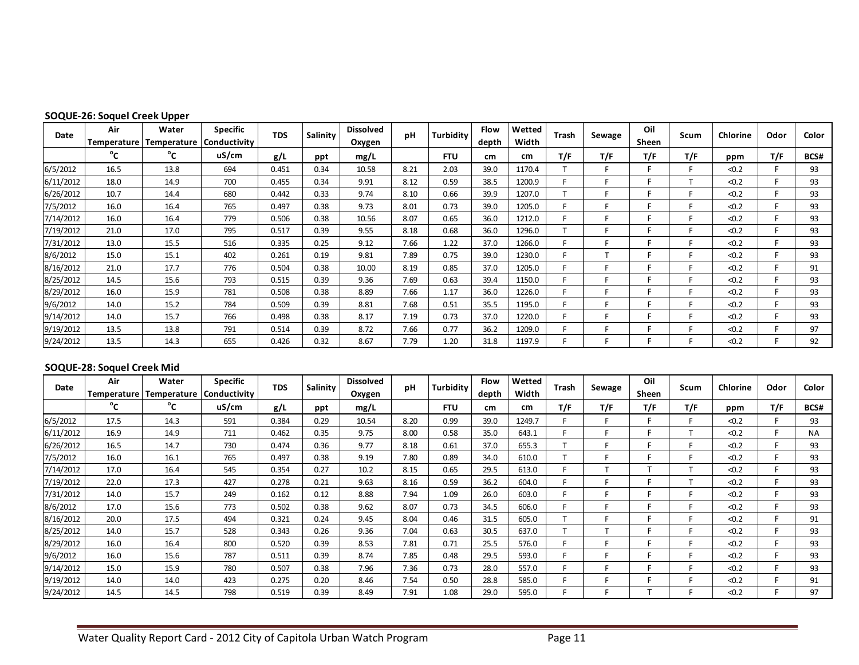| <b>SOQUE-26: Soquel Creek Upper</b> |  |  |  |
|-------------------------------------|--|--|--|
|-------------------------------------|--|--|--|

| Date      | <b>SOQUE-26: Soquel Creek Upper</b><br>Air<br>Temperature | Water<br>Temperature | <b>Specific</b><br>Conductivity | <b>TDS</b> | Salinity | <b>Dissolved</b><br>Oxygen | pH   | <b>Turbidity</b> | Flow<br>depth | Wetted<br>Width | Trash        | Sewage       | Oil<br>Sheen | Scum | Chlorine | Odor | Color |
|-----------|-----------------------------------------------------------|----------------------|---------------------------------|------------|----------|----------------------------|------|------------------|---------------|-----------------|--------------|--------------|--------------|------|----------|------|-------|
|           | $^{\circ}$ c                                              | $^{\circ}$ c         | uS/cm                           | g/L        | ppt      | mg/L                       |      | <b>FTU</b>       | cm            | cm              | T/F          | T/F          | T/F          | T/F  | ppm      | T/F  | BCS#  |
| 6/5/2012  | 16.5                                                      | 13.8                 | 694                             | 0.451      | 0.34     | 10.58                      | 8.21 | 2.03             | 39.0          | 1170.4          |              |              | F            | F    | < 0.2    | F    | 93    |
| 6/11/2012 | 18.0                                                      | 14.9                 | 700                             | 0.455      | 0.34     | 9.91                       | 8.12 | 0.59             | 38.5          | 1200.9          | F            | F            | F            | T.   | < 0.2    | F    | 93    |
| 6/26/2012 | 10.7                                                      | 14.4                 | 680                             | 0.442      | 0.33     | 9.74                       | 8.10 | 0.66             | 39.9          | 1207.0          | T            | E            | F            | F    | < 0.2    | F    | 93    |
| 7/5/2012  | 16.0                                                      | 16.4                 | 765                             | 0.497      | 0.38     | 9.73                       | 8.01 | 0.73             | 39.0          | 1205.0          | F            | F            | E            | F.   | < 0.2    | F    | 93    |
| 7/14/2012 | 16.0                                                      | 16.4                 | 779                             | 0.506      | 0.38     | 10.56                      | 8.07 | 0.65             | 36.0          | 1212.0          | F            | E            | F            | F    | < 0.2    | F    | 93    |
| 7/19/2012 | 21.0                                                      | 17.0                 | 795                             | 0.517      | 0.39     | 9.55                       | 8.18 | 0.68             | 36.0          | 1296.0          | $\mathsf{T}$ | F            | E            | F    | < 0.2    | F    | 93    |
| 7/31/2012 | 13.0                                                      | 15.5                 | 516                             | 0.335      | 0.25     | 9.12                       | 7.66 | 1.22             | 37.0          | 1266.0          | F            | F            | E            | F.   | < 0.2    | F    | 93    |
| 8/6/2012  | 15.0                                                      | 15.1                 | 402                             | 0.261      | 0.19     | 9.81                       | 7.89 | 0.75             | 39.0          | 1230.0          | F            | $\mathsf{T}$ | F            | F    | < 0.2    | F    | 93    |
| 8/16/2012 | 21.0                                                      | 17.7                 | 776                             | 0.504      | 0.38     | 10.00                      | 8.19 | 0.85             | 37.0          | 1205.0          | F            | F            | F            | F.   | < 0.2    | F    | 91    |
| 8/25/2012 | 14.5                                                      | 15.6                 | 793                             | 0.515      | 0.39     | 9.36                       | 7.69 | 0.63             | 39.4          | 1150.0          | E            | F            | F            | F    | < 0.2    | F    | 93    |
| 8/29/2012 | 16.0                                                      | 15.9                 | 781                             | 0.508      | 0.38     | 8.89                       | 7.66 | 1.17             | 36.0          | 1226.0          | E            | F            | F            | F    | < 0.2    | F    | 93    |
| 9/6/2012  | 14.0                                                      | 15.2                 | 784                             | 0.509      | 0.39     | 8.81                       | 7.68 | 0.51             | 35.5          | 1195.0          | F            | F.           | E            | F.   | < 0.2    | F    | 93    |
| 9/14/2012 | 14.0                                                      | 15.7                 | 766                             | 0.498      | 0.38     | 8.17                       | 7.19 | 0.73             | 37.0          | 1220.0          | F            | E            | F            | F    | < 0.2    | F    | 93    |
| 9/19/2012 | 13.5                                                      | 13.8                 | 791                             | 0.514      | 0.39     | 8.72                       | 7.66 | 0.77             | 36.2          | 1209.0          | F            | Е            | F            | F.   | < 0.2    | F    | 97    |
| 9/24/2012 | 13.5                                                      | 14.3                 | 655                             | 0.426      | 0.32     | 8.67                       | 7.79 | 1.20             | 31.8          | 1197.9          |              | E.           | F            | E    | < 0.2    | Е    | 92    |
|           | SOQUE-28: Soquel Creek Mid                                |                      |                                 |            |          |                            |      |                  |               |                 |              |              |              |      |          |      |       |
| Date      | Air<br>Temperature                                        | Water<br>Temperature | <b>Specific</b><br>Conductivity | <b>TDS</b> | Salinity | <b>Dissolved</b><br>Oxygen | pH   | Turbidity        | Flow<br>depth | Wetted<br>Width | Trash        | Sewage       | Oil<br>Sheen | Scum | Chlorine | Odor | Color |
|           | $^{\circ}$ c                                              | °c                   | uS/cm                           | g/L        | ppt      | mg/L                       |      | <b>FTU</b>       | cm            | cm              | T/F          | T/F          | T/F          | T/F  | ppm      | T/F  | BCS#  |
| 6/5/2012  | 17.5                                                      | 14.3                 | 591                             | 0.384      | 0.29     | 10.54                      | 8.20 | 0.99             | 39.0          | 1249.7          | F            | F            | F            | F.   | < 0.2    | F    | 93    |

### **SOQUE-28: Soquel Creek Mid**

| 9/14/2012 | 14.0                       | 15.7                    | 766             | 0.498      | 0.38     | 8.17             | 7.19 | 0.73       | 37.0  | 1220.0 |                 |                |                |             | < 0.2    |      | 93        |
|-----------|----------------------------|-------------------------|-----------------|------------|----------|------------------|------|------------|-------|--------|-----------------|----------------|----------------|-------------|----------|------|-----------|
| 9/19/2012 | 13.5                       | 13.8                    | 791             | 0.514      | 0.39     | 8.72             | 7.66 | 0.77       | 36.2  | 1209.0 |                 | Е              |                | E.          | < 0.2    |      | 97        |
| 9/24/2012 | 13.5                       | 14.3                    | 655             | 0.426      | 0.32     | 8.67             | 7.79 | 1.20       | 31.8  | 1197.9 |                 |                |                | с           | < 0.2    |      | 92        |
|           |                            |                         |                 |            |          |                  |      |            |       |        |                 |                |                |             |          |      |           |
|           | SOQUE-28: Soquel Creek Mid |                         |                 |            |          |                  |      |            |       |        |                 |                |                |             |          |      |           |
| Date      | Air                        | Water                   | <b>Specific</b> | <b>TDS</b> | Salinity | <b>Dissolved</b> | pH   | Turbidity  | Flow  | Wetted | Trash           |                | Oil            | <b>Scum</b> | Chlorine | Odor | Color     |
|           |                            | Temperature Temperature | Conductivity    |            |          | Oxygen           |      |            | depth | Width  |                 | Sewage         | Sheen          |             |          |      |           |
|           | °c                         | $^{\circ}$ c            | uS/cm           | g/L        | ppt      | mg/L             |      | <b>FTU</b> | cm    | cm     | T/F             | T/F            | T/F            | T/F         | ppm      | T/F  | BCS#      |
| 6/5/2012  | 17.5                       | 14.3                    | 591             | 0.384      | 0.29     | 10.54            | 8.20 | 0.99       | 39.0  | 1249.7 |                 | Е              |                | F.          | < 0.2    |      | 93        |
| 6/11/2012 | 16.9                       | 14.9                    | 711             | 0.462      | 0.35     | 9.75             | 8.00 | 0.58       | 35.0  | 643.1  |                 | с              |                |             | < 0.2    |      | <b>NA</b> |
| 6/26/2012 | 16.5                       | 14.7                    | 730             | 0.474      | 0.36     | 9.77             | 8.18 | 0.61       | 37.0  | 655.3  | $\mathbf \tau$  | Е              |                | F.          | < 0.2    |      | 93        |
| 7/5/2012  | 16.0                       | 16.1                    | 765             | 0.497      | 0.38     | 9.19             | 7.80 | 0.89       | 34.0  | 610.0  | T.              | с              | E.             | F.          | < 0.2    |      | 93        |
| 7/14/2012 | 17.0                       | 16.4                    | 545             | 0.354      | 0.27     | 10.2             | 8.15 | 0.65       | 29.5  | 613.0  |                 | $\mathbf \tau$ | T              |             | < 0.2    |      | 93        |
| 7/19/2012 | 22.0                       | 17.3                    | 427             | 0.278      | 0.21     | 9.63             | 8.16 | 0.59       | 36.2  | 604.0  |                 | Е              |                |             | < 0.2    |      | 93        |
| 7/31/2012 | 14.0                       | 15.7                    | 249             | 0.162      | 0.12     | 8.88             | 7.94 | 1.09       | 26.0  | 603.0  |                 | Е              |                | F.          | < 0.2    |      | 93        |
| 8/6/2012  | 17.0                       | 15.6                    | 773             | 0.502      | 0.38     | 9.62             | 8.07 | 0.73       | 34.5  | 606.0  |                 | с              |                | E.          | < 0.2    |      | 93        |
| 8/16/2012 | 20.0                       | 17.5                    | 494             | 0.321      | 0.24     | 9.45             | 8.04 | 0.46       | 31.5  | 605.0  | $\mathbf{\tau}$ | с              |                | E.          | < 0.2    |      | 91        |
| 8/25/2012 | 14.0                       | 15.7                    | 528             | 0.343      | 0.26     | 9.36             | 7.04 | 0.63       | 30.5  | 637.0  | $\mathbf \tau$  | T              |                | F.          | < 0.2    |      | 93        |
| 8/29/2012 | 16.0                       | 16.4                    | 800             | 0.520      | 0.39     | 8.53             | 7.81 | 0.71       | 25.5  | 576.0  |                 | Е              |                | F.          | < 0.2    |      | 93        |
| 9/6/2012  | 16.0                       | 15.6                    | 787             | 0.511      | 0.39     | 8.74             | 7.85 | 0.48       | 29.5  | 593.0  |                 | с              |                | F.          | < 0.2    |      | 93        |
| 9/14/2012 | 15.0                       | 15.9                    | 780             | 0.507      | 0.38     | 7.96             | 7.36 | 0.73       | 28.0  | 557.0  |                 | Е              |                | E.          | < 0.2    |      | 93        |
| 9/19/2012 | 14.0                       | 14.0                    | 423             | 0.275      | 0.20     | 8.46             | 7.54 | 0.50       | 28.8  | 585.0  |                 | с              |                | с           | < 0.2    |      | 91        |
| 9/24/2012 | 14.5                       | 14.5                    | 798             | 0.519      | 0.39     | 8.49             | 7.91 | 1.08       | 29.0  | 595.0  |                 | Е              | $\mathbf \tau$ | Е           | < 0.2    |      | 97        |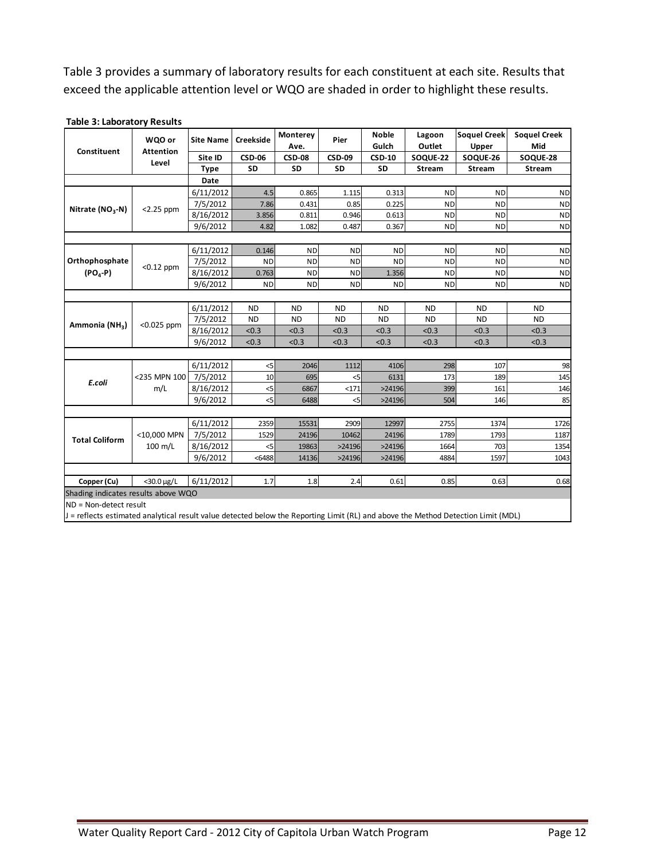Table 3 provides a summary of laboratory results for each constituent at each site. Results that exceed the applicable attention level or WQO are shaded in order to highlight these results.

| Constituent                         | WQO or<br><b>Attention</b> | <b>Site Name</b> | Creekside     | Monterey<br>Ave. | Pier          | <b>Noble</b><br>Gulch | Lagoon<br>Outlet | <b>Soquel Creek</b><br>Upper | <b>Soquel Creek</b><br>Mid |
|-------------------------------------|----------------------------|------------------|---------------|------------------|---------------|-----------------------|------------------|------------------------------|----------------------------|
|                                     | Level                      | Site ID          | <b>CSD-06</b> | <b>CSD-08</b>    | <b>CSD-09</b> | <b>CSD-10</b>         | SOQUE-22         | SOQUE-26                     | SOQUE-28                   |
|                                     |                            | <b>Type</b>      | SD            | SD               | SD            | <b>SD</b>             | <b>Stream</b>    | <b>Stream</b>                | Stream                     |
|                                     |                            | Date             |               |                  |               |                       |                  |                              |                            |
|                                     |                            | 6/11/2012        | 4.5           | 0.865            | 1.115         | 0.313                 | <b>ND</b>        | <b>ND</b>                    | <b>ND</b>                  |
|                                     |                            | 7/5/2012         | 7.86          | 0.431            | 0.85          | 0.225                 | <b>ND</b>        | <b>ND</b>                    | <b>ND</b>                  |
| Nitrate $(NO3-N)$                   | $<$ 2.25 ppm               | 8/16/2012        | 3.856         | 0.811            | 0.946         | 0.613                 | <b>ND</b>        | <b>ND</b>                    | <b>ND</b>                  |
|                                     |                            | 9/6/2012         | 4.82          | 1.082            | 0.487         | 0.367                 | <b>ND</b>        | <b>ND</b>                    | <b>ND</b>                  |
|                                     |                            |                  |               |                  |               |                       |                  |                              |                            |
|                                     |                            | 6/11/2012        | 0.146         | <b>ND</b>        | <b>ND</b>     | <b>ND</b>             | <b>ND</b>        | <b>ND</b>                    | <b>ND</b>                  |
| Orthophosphate                      | $< 0.12$ ppm               | 7/5/2012         | <b>ND</b>     | <b>ND</b>        | <b>ND</b>     | <b>ND</b>             | <b>ND</b>        | <b>ND</b>                    | <b>ND</b>                  |
| $(PO4 - P)$                         |                            | 8/16/2012        | 0.763         | <b>ND</b>        | <b>ND</b>     | 1.356                 | <b>ND</b>        | <b>ND</b>                    | <b>ND</b>                  |
|                                     |                            | 9/6/2012         | <b>ND</b>     | <b>ND</b>        | <b>ND</b>     | <b>ND</b>             | <b>ND</b>        | <b>ND</b>                    | <b>ND</b>                  |
|                                     |                            |                  |               |                  |               |                       |                  |                              |                            |
|                                     |                            | 6/11/2012        | <b>ND</b>     | <b>ND</b>        | <b>ND</b>     | <b>ND</b>             | <b>ND</b>        | <b>ND</b>                    | <b>ND</b>                  |
| Ammonia (NH <sub>3</sub> )          | $<0.025$ ppm               | 7/5/2012         | <b>ND</b>     | <b>ND</b>        | <b>ND</b>     | <b>ND</b>             | <b>ND</b>        | <b>ND</b>                    | <b>ND</b>                  |
|                                     |                            | 8/16/2012        | < 0.3         | < 0.3            | < 0.3         | < 0.3                 | < 0.3            | < 0.3                        | < 0.3                      |
|                                     |                            | 9/6/2012         | < 0.3         | < 0.3            | < 0.3         | < 0.3                 | < 0.3            | < 0.3                        | < 0.3                      |
|                                     |                            |                  |               |                  |               |                       |                  |                              |                            |
|                                     |                            | 6/11/2012        | $<$ 5         | 2046             | 1112          | 4106                  | 298              | 107                          | 98                         |
| E.coli                              | <235 MPN 100               | 7/5/2012         | 10            | 695              | $5$           | 6131                  | 173              | 189                          | 145                        |
|                                     | m/L                        | 8/16/2012        | $<$ 5         | 6867             | $171$         | >24196                | 399              | 161                          | 146                        |
|                                     |                            | 9/6/2012         | 5             | 6488             | $<$ 5         | >24196                | 504              | 146                          | 85                         |
|                                     |                            |                  |               |                  |               |                       |                  |                              |                            |
|                                     |                            | 6/11/2012        | 2359          | 15531            | 2909          | 12997                 | 2755             | 1374                         | 1726                       |
| <b>Total Coliform</b>               | <10,000 MPN                | 7/5/2012         | 1529          | 24196            | 10462         | 24196                 | 1789             | 1793                         | 1187                       |
|                                     | 100 m/L                    | 8/16/2012        | $<$ 5         | 19863            | >24196        | >24196                | 1664             | 703                          | 1354                       |
|                                     |                            | 9/6/2012         | $6488$        | 14136            | >24196        | >24196                | 4884             | 1597                         | 1043                       |
|                                     |                            |                  |               |                  |               |                       |                  |                              |                            |
| Copper (Cu)                         | $<$ 30.0 $\mu$ g/L         | 6/11/2012        | 1.7           | 1.8              | 2.4           | 0.61                  | 0.85             | 0.63                         | 0.68                       |
| Shading indicates results above WQO |                            |                  |               |                  |               |                       |                  |                              |                            |
| ND = Non-detect result              |                            |                  |               |                  |               |                       |                  |                              |                            |

### **Table 3: Laboratory Results**

J = reflects estimated analytical result value detected below the Reporting Limit (RL) and above the Method Detection Limit (MDL)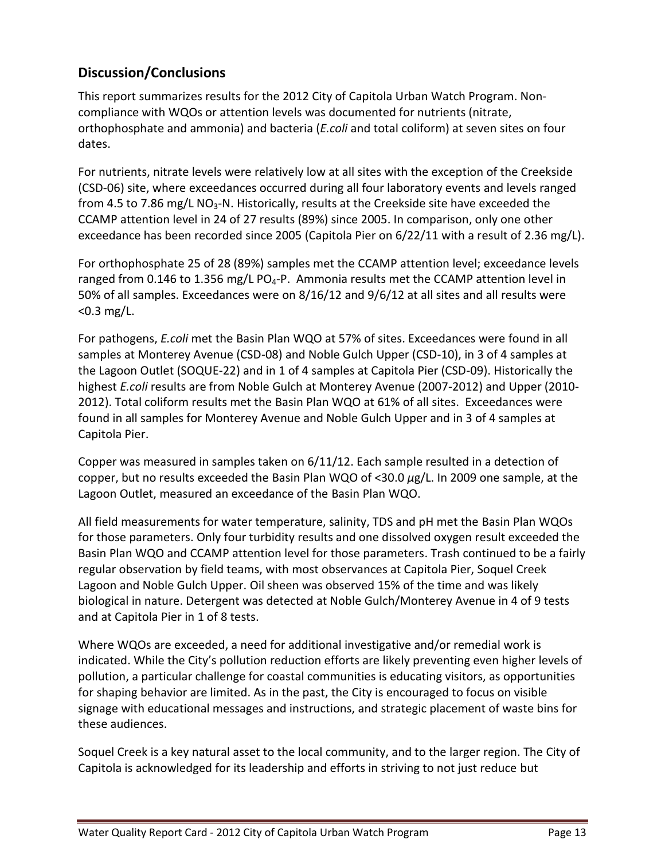# **Discussion/Conclusions**

This report summarizes results for the 2012 City of Capitola Urban Watch Program. Noncompliance with WQOs or attention levels was documented for nutrients (nitrate, orthophosphate and ammonia) and bacteria (*E.coli* and total coliform) at seven sites on four dates.

For nutrients, nitrate levels were relatively low at all sites with the exception of the Creekside (CSD-06) site, where exceedances occurred during all four laboratory events and levels ranged from 4.5 to 7.86 mg/L NO<sub>3</sub>-N. Historically, results at the Creekside site have exceeded the CCAMP attention level in 24 of 27 results (89%) since 2005. In comparison, only one other exceedance has been recorded since 2005 (Capitola Pier on 6/22/11 with a result of 2.36 mg/L).

For orthophosphate 25 of 28 (89%) samples met the CCAMP attention level; exceedance levels ranged from 0.146 to 1.356 mg/L PO<sub>4</sub>-P. Ammonia results met the CCAMP attention level in 50% of all samples. Exceedances were on 8/16/12 and 9/6/12 at all sites and all results were <0.3 mg/L.

For pathogens, *E.coli* met the Basin Plan WQO at 57% of sites. Exceedances were found in all samples at Monterey Avenue (CSD-08) and Noble Gulch Upper (CSD-10), in 3 of 4 samples at the Lagoon Outlet (SOQUE-22) and in 1 of 4 samples at Capitola Pier (CSD-09). Historically the highest *E.coli* results are from Noble Gulch at Monterey Avenue (2007-2012) and Upper (2010- 2012). Total coliform results met the Basin Plan WQO at 61% of all sites. Exceedances were found in all samples for Monterey Avenue and Noble Gulch Upper and in 3 of 4 samples at Capitola Pier.

Copper was measured in samples taken on 6/11/12. Each sample resulted in a detection of copper, but no results exceeded the Basin Plan WQO of <30.0 *μ*g/L. In 2009 one sample, at the Lagoon Outlet, measured an exceedance of the Basin Plan WQO.

All field measurements for water temperature, salinity, TDS and pH met the Basin Plan WQOs for those parameters. Only four turbidity results and one dissolved oxygen result exceeded the Basin Plan WQO and CCAMP attention level for those parameters. Trash continued to be a fairly regular observation by field teams, with most observances at Capitola Pier, Soquel Creek Lagoon and Noble Gulch Upper. Oil sheen was observed 15% of the time and was likely biological in nature. Detergent was detected at Noble Gulch/Monterey Avenue in 4 of 9 tests and at Capitola Pier in 1 of 8 tests.

Where WQOs are exceeded, a need for additional investigative and/or remedial work is indicated. While the City's pollution reduction efforts are likely preventing even higher levels of pollution, a particular challenge for coastal communities is educating visitors, as opportunities for shaping behavior are limited. As in the past, the City is encouraged to focus on visible signage with educational messages and instructions, and strategic placement of waste bins for these audiences.

Soquel Creek is a key natural asset to the local community, and to the larger region. The City of Capitola is acknowledged for its leadership and efforts in striving to not just reduce but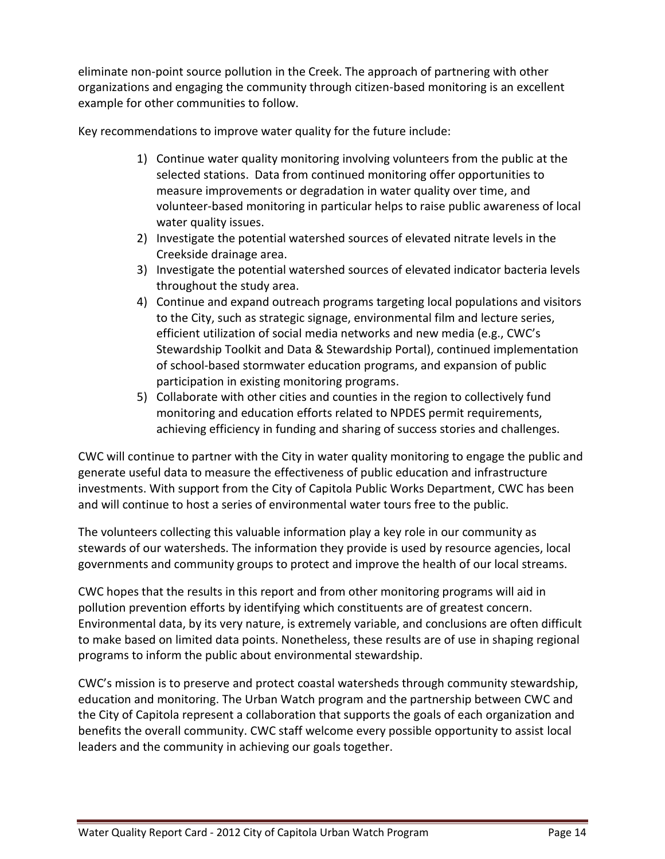eliminate non-point source pollution in the Creek. The approach of partnering with other organizations and engaging the community through citizen-based monitoring is an excellent example for other communities to follow.

Key recommendations to improve water quality for the future include:

- 1) Continue water quality monitoring involving volunteers from the public at the selected stations. Data from continued monitoring offer opportunities to measure improvements or degradation in water quality over time, and volunteer-based monitoring in particular helps to raise public awareness of local water quality issues.
- 2) Investigate the potential watershed sources of elevated nitrate levels in the Creekside drainage area.
- 3) Investigate the potential watershed sources of elevated indicator bacteria levels throughout the study area.
- 4) Continue and expand outreach programs targeting local populations and visitors to the City, such as strategic signage, environmental film and lecture series, efficient utilization of social media networks and new media (e.g., CWC's Stewardship Toolkit and Data & Stewardship Portal), continued implementation of school-based stormwater education programs, and expansion of public participation in existing monitoring programs.
- 5) Collaborate with other cities and counties in the region to collectively fund monitoring and education efforts related to NPDES permit requirements, achieving efficiency in funding and sharing of success stories and challenges.

CWC will continue to partner with the City in water quality monitoring to engage the public and generate useful data to measure the effectiveness of public education and infrastructure investments. With support from the City of Capitola Public Works Department, CWC has been and will continue to host a series of environmental water tours free to the public.

The volunteers collecting this valuable information play a key role in our community as stewards of our watersheds. The information they provide is used by resource agencies, local governments and community groups to protect and improve the health of our local streams.

CWC hopes that the results in this report and from other monitoring programs will aid in pollution prevention efforts by identifying which constituents are of greatest concern. Environmental data, by its very nature, is extremely variable, and conclusions are often difficult to make based on limited data points. Nonetheless, these results are of use in shaping regional programs to inform the public about environmental stewardship.

CWC's mission is to preserve and protect coastal watersheds through community stewardship, education and monitoring. The Urban Watch program and the partnership between CWC and the City of Capitola represent a collaboration that supports the goals of each organization and benefits the overall community. CWC staff welcome every possible opportunity to assist local leaders and the community in achieving our goals together.